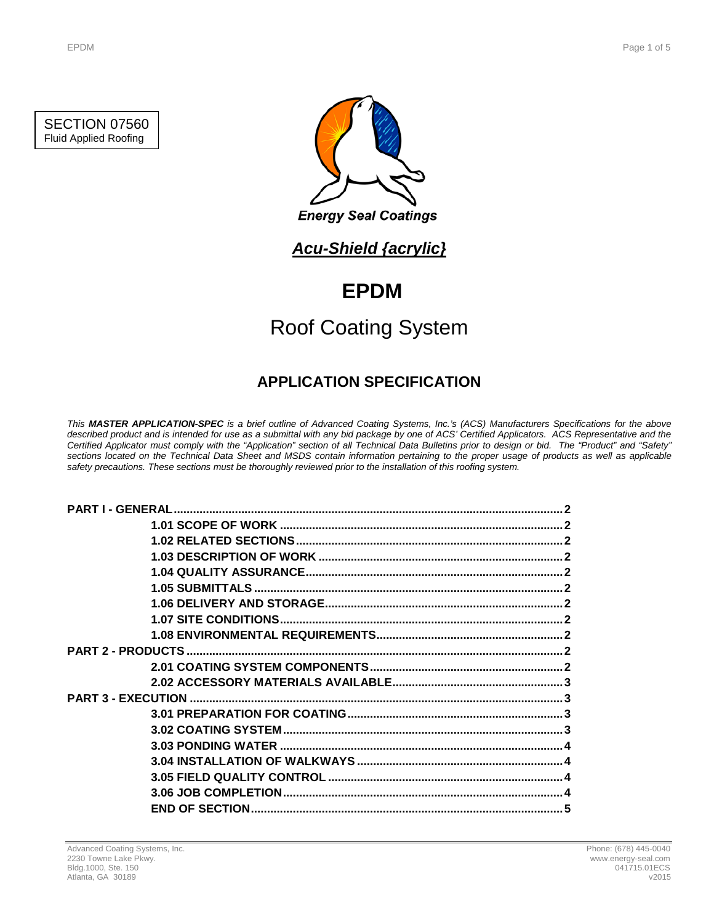SECTION 07560 Fluid Applied Roofing



## *Acu-Shield {acrylic}*

# **EPDM**

# Roof Coating System

## **APPLICATION SPECIFICATION**

*This MASTER APPLICATION-SPEC is a brief outline of Advanced Coating Systems, Inc.'s (ACS) Manufacturers Specifications for the above described product and is intended for use as a submittal with any bid package by one of ACS' Certified Applicators. ACS Representative and the Certified Applicator must comply with the "Application" section of all Technical Data Bulletins prior to design or bid. The "Product" and "Safety" sections located on the Technical Data Sheet and MSDS contain information pertaining to the proper usage of products as well as applicable safety precautions. These sections must be thoroughly reviewed prior to the installation of this roofing system.*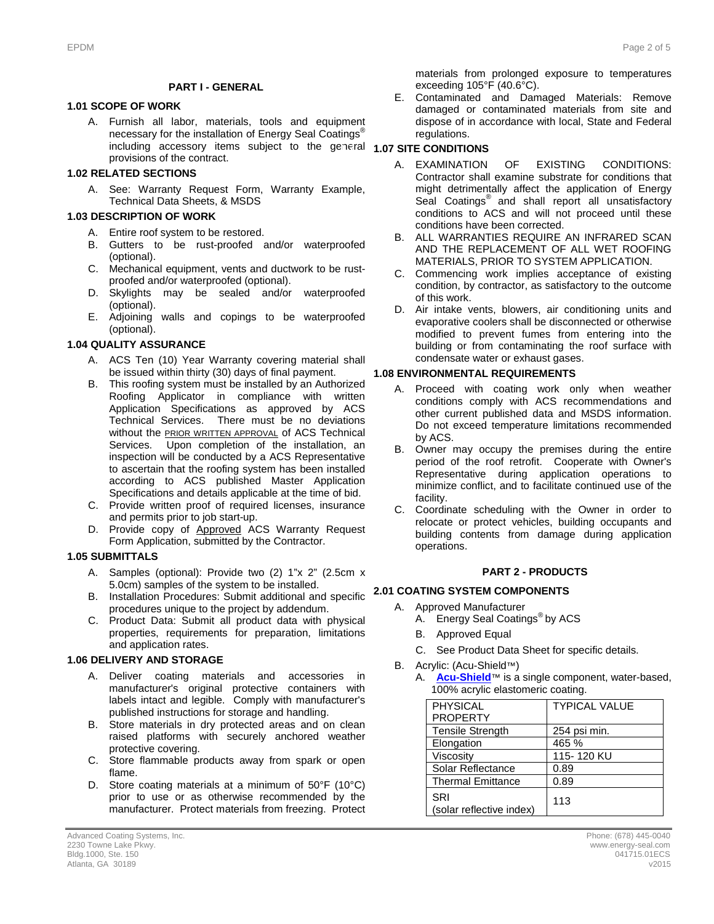#### **PART I - GENERAL**

#### **1.1 1.01 SCOPE OF WORK**

A. Furnish all labor, materials, tools and equipment necessary for the installation of Energy Seal Coatings<sup>®</sup> including accessory items subject to the general **1.07 SITE CONDITIONS** provisions of the contract.

#### **1.2 1.02 RELATED SECTIONS**

A. See: Warranty Request Form, Warranty Example, Technical Data Sheets, & MSDS

#### **1.3 1.03 DESCRIPTION OF WORK**

- A. Entire roof system to be restored.
- B. Gutters to be rust-proofed and/or waterproofed (optional).
- C. Mechanical equipment, vents and ductwork to be rustproofed and/or waterproofed (optional).
- D. Skylights may be sealed and/or waterproofed (optional).
- E. Adjoining walls and copings to be waterproofed (optional).

#### **1.4 1.04 QUALITY ASSURANCE**

- A. ACS Ten (10) Year Warranty covering material shall be issued within thirty (30) days of final payment.
- B. This roofing system must be installed by an Authorized Roofing Applicator in compliance with written Application Specifications as approved by ACS Technical Services. There must be no deviations without the **PRIOR WRITTEN APPROVAL** of ACS Technical Services. Upon completion of the installation, an inspection will be conducted by a ACS Representative to ascertain that the roofing system has been installed according to ACS published Master Application Specifications and details applicable at the time of bid.
- C. Provide written proof of required licenses, insurance and permits prior to job start-up.
- D. Provide copy of Approved ACS Warranty Request Form Application, submitted by the Contractor.

#### **1.5 1.05 SUBMITTALS**

- A. Samples (optional): Provide two (2) 1"x 2" (2.5cm x 5.0cm) samples of the system to be installed.
- B. Installation Procedures: Submit additional and specific **2.1 2.01 COATING SYSTEM COMPONENTS** procedures unique to the project by addendum.
- C. Product Data: Submit all product data with physical properties, requirements for preparation, limitations and application rates.

#### **1.6 1.06 DELIVERY AND STORAGE**

- A. Deliver coating materials and accessories in manufacturer's original protective containers with labels intact and legible. Comply with manufacturer's published instructions for storage and handling.
- B. Store materials in dry protected areas and on clean raised platforms with securely anchored weather protective covering.
- C. Store flammable products away from spark or open flame.
- D. Store coating materials at a minimum of 50°F (10°C) prior to use or as otherwise recommended by the manufacturer. Protect materials from freezing. Protect

materials from prolonged exposure to temperatures exceeding 105°F (40.6°C).

E. Contaminated and Damaged Materials: Remove damaged or contaminated materials from site and dispose of in accordance with local, State and Federal regulations.

- A. EXAMINATION OF EXISTING CONDITIONS: Contractor shall examine substrate for conditions that might detrimentally affect the application of Energy Seal Coatings<sup>®</sup> and shall report all unsatisfactory conditions to ACS and will not proceed until these conditions have been corrected.
- B. ALL WARRANTIES REQUIRE AN INFRARED SCAN AND THE REPLACEMENT OF ALL WET ROOFING MATERIALS, PRIOR TO SYSTEM APPLICATION.
- C. Commencing work implies acceptance of existing condition, by contractor, as satisfactory to the outcome of this work.
- D. Air intake vents, blowers, air conditioning units and evaporative coolers shall be disconnected or otherwise modified to prevent fumes from entering into the building or from contaminating the roof surface with condensate water or exhaust gases.

#### **1.8 1.08 ENVIRONMENTAL REQUIREMENTS**

- A. Proceed with coating work only when weather conditions comply with ACS recommendations and other current published data and MSDS information. Do not exceed temperature limitations recommended by ACS.
- B. Owner may occupy the premises during the entire period of the roof retrofit. Cooperate with Owner's Representative during application operations to minimize conflict, and to facilitate continued use of the facility.
- C. Coordinate scheduling with the Owner in order to relocate or protect vehicles, building occupants and building contents from damage during application operations.

#### **2 PART 2 - PRODUCTS**

- A. Approved Manufacturer
	- A. Energy Seal Coatings® by ACS
	- B. Approved Equal
	- C. See Product Data Sheet for specific details.
- B. Acrylic: (Acu-Shield™)
	- A. **[Acu-Shield](http://www.energy-seal.com/UserDyn/ACS/pdfs/acu-shield.pdf)**™ is a single component, water-based, 100% acrylic elastomeric coating.

| <b>PHYSICAL</b>                 | <b>TYPICAL VALUE</b> |
|---------------------------------|----------------------|
| <b>PROPERTY</b>                 |                      |
| <b>Tensile Strength</b>         | 254 psi min.         |
| Elongation                      | 465 %                |
| Viscosity                       | 115-120 KU           |
| Solar Reflectance               | 0.89                 |
| <b>Thermal Emittance</b>        | 0.89                 |
| SRI<br>(solar reflective index) | 113                  |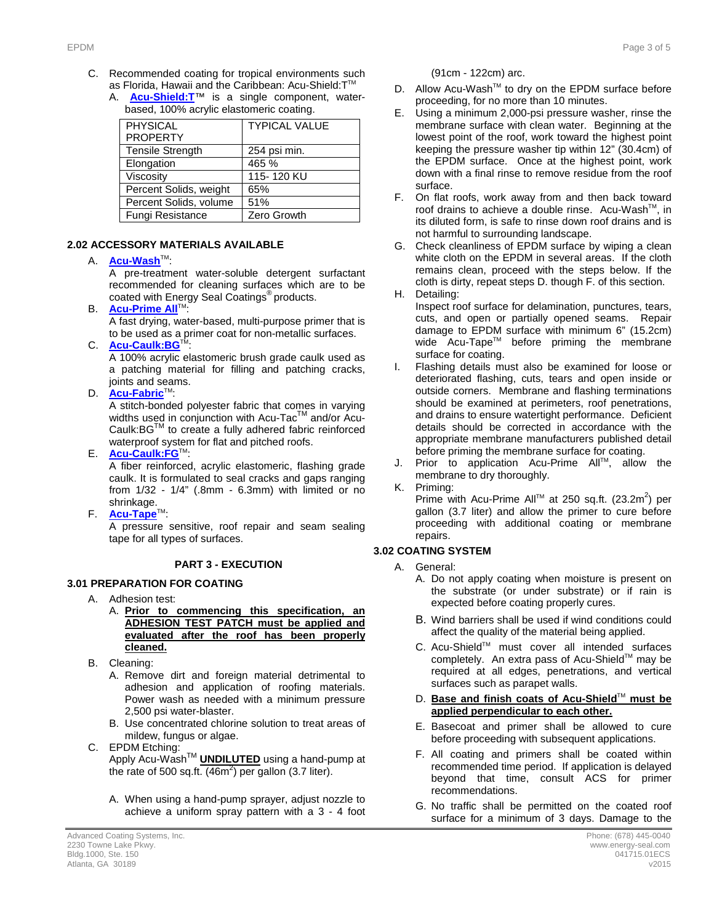- C. Recommended coating for tropical environments such as Florida, Hawaii and the Caribbean: Acu-Shield: T™
	- A. **[Acu-Shield:T](http://www.energy-seal.com/UserDyn/ACS/pdfs/acu-shield-t.pdf)**™ is a single component, waterbased, 100% acrylic elastomeric coating.

| <b>PHYSICAL</b><br><b>PROPERTY</b> | <b>TYPICAL VALUE</b> |
|------------------------------------|----------------------|
| <b>Tensile Strength</b>            | 254 psi min.         |
| Elongation                         | 465 %                |
| Viscosity                          | 115-120 KU           |
| Percent Solids, weight             | 65%                  |
| Percent Solids, volume             | 51%                  |
| Fungi Resistance                   | Zero Growth          |

#### **2.2 2.02 ACCESSORY MATERIALS AVAILABLE**

#### A. **[Acu-Wash](http://www.energy-seal.com/UserDyn/ACS/pdfs/acu-wash.pdf)™:**

A pre-treatment water-soluble detergent surfactant recommended for cleaning surfaces which are to be coated with Energy Seal Coatings® products.

**B. [Acu-Prime](http://www.energy-seal.com/UserDyn/ACS/pdfs/acu-prime%20all.pdf) All**™:

A fast drying, water-based, multi-purpose primer that is to be used as a primer coat for non-metallic surfaces.

C. **[Acu-Caulk:BG](http://www.energy-seal.com/UserDyn/ACS/pdfs/acu-caulk_bg.pdf)** 

A 100% acrylic elastomeric brush grade caulk used as a patching material for filling and patching cracks, joints and seams.

D. **[Acu-Fabric](http://www.energy-seal.com/UserDyn/ACS/pdfs/acu-fabric-sb.pdf)™** 

A stitch-bonded polyester fabric that comes in varying widths used in conjunction with Acu-Tac<sup>TM</sup> and/or Acu-Caulk:BGTM to create a fully adhered fabric reinforced waterproof system for flat and pitched roofs.

E. **[Acu-Caulk:FG](http://www.energy-seal.com/UserDyn/ACS/pdfs/acu-caulk_fg.pdf)**TM:

A fiber reinforced, acrylic elastomeric, flashing grade caulk. It is formulated to seal cracks and gaps ranging from 1/32 - 1/4" (.8mm - 6.3mm) with limited or no shrinkage.

F. **[Acu-Tape](http://www.energy-seal.com/UserDyn/ACS/pdfs/acu-tape.pdf)**TM:

A pressure sensitive, roof repair and seam sealing tape for all types of surfaces.

#### **3 PART 3 - EXECUTION**

### **3.1 3.01 PREPARATION FOR COATING**

- A. Adhesion test:
	- A. **Prior to commencing this specification, an ADHESION TEST PATCH must be applied and evaluated after the roof has been properly cleaned.**
- B. Cleaning:

A. Remove dirt and foreign material detrimental to adhesion and application of roofing materials. Power wash as needed with a minimum pressure 2,500 psi water-blaster.

- B. Use concentrated chlorine solution to treat areas of mildew, fungus or algae.
- C. EPDM Etching:

Apply Acu-WashTM **UNDILUTED** using a hand-pump at the rate of 500 sq.ft.  $(46m^2)$  per gallon (3.7 liter).

A. When using a hand-pump sprayer, adjust nozzle to achieve a uniform spray pattern with a 3 - 4 foot (91cm - 122cm) arc.

- D. Allow Acu-Wash™ to dry on the EPDM surface before proceeding, for no more than 10 minutes.
- E. Using a minimum 2,000-psi pressure washer, rinse the membrane surface with clean water. Beginning at the lowest point of the roof, work toward the highest point keeping the pressure washer tip within 12" (30.4cm) of the EPDM surface. Once at the highest point, work down with a final rinse to remove residue from the roof surface.
- F. On flat roofs, work away from and then back toward roof drains to achieve a double rinse. Acu-Wash™, in its diluted form, is safe to rinse down roof drains and is not harmful to surrounding landscape.
- G. Check cleanliness of EPDM surface by wiping a clean white cloth on the EPDM in several areas. If the cloth remains clean, proceed with the steps below. If the cloth is dirty, repeat steps D. though F. of this section. H. Detailing:
	- Inspect roof surface for delamination, punctures, tears, cuts, and open or partially opened seams. Repair damage to EPDM surface with minimum 6" (15.2cm) wide Acu-Tape™ before priming the membrane surface for coating.
- I. Flashing details must also be examined for loose or deteriorated flashing, cuts, tears and open inside or outside corners. Membrane and flashing terminations should be examined at perimeters, roof penetrations, and drains to ensure watertight performance. Deficient details should be corrected in accordance with the appropriate membrane manufacturers published detail before priming the membrane surface for coating.
- J. Prior to application Acu-Prime All™, allow the membrane to dry thoroughly.

K. Priming:

Prime with Acu-Prime All<sup>™</sup> at 250 sq.ft. (23.2m<sup>2</sup>) per gallon (3.7 liter) and allow the primer to cure before proceeding with additional coating or membrane repairs.

#### **3.2 3.02 COATING SYSTEM**

- A. General:
	- A. Do not apply coating when moisture is present on the substrate (or under substrate) or if rain is expected before coating properly cures.
	- B. Wind barriers shall be used if wind conditions could affect the quality of the material being applied.
	- C. Acu-Shield™ must cover all intended surfaces completely. An extra pass of Acu-Shield™ may be required at all edges, penetrations, and vertical surfaces such as parapet walls.
	- D. Base and finish coats of Acu-Shield™ must be **applied perpendicular to each other.**
	- E. Basecoat and primer shall be allowed to cure before proceeding with subsequent applications.
	- F. All coating and primers shall be coated within recommended time period. If application is delayed beyond that time, consult ACS for primer recommendations.
	- G. No traffic shall be permitted on the coated roof surface for a minimum of 3 days. Damage to the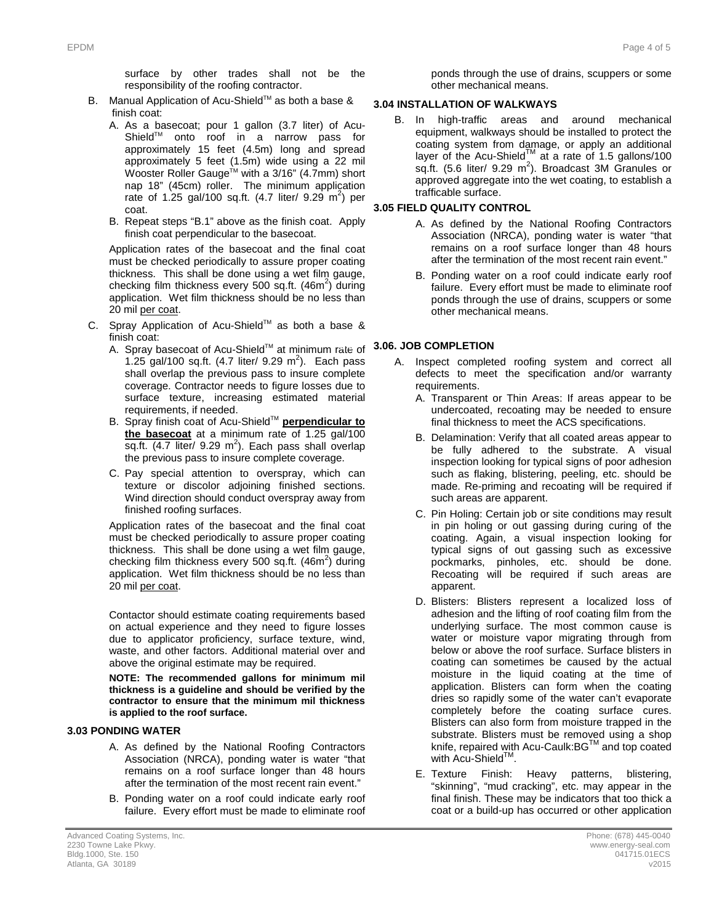surface by other trades shall not be the responsibility of the roofing contractor.

- B. Manual Application of Acu-Shield™ as both a base & finish coat:
	- A. As a basecoat; pour 1 gallon (3.7 liter) of Acu-Shield™ onto roof in a narrow pass for approximately 15 feet (4.5m) long and spread approximately 5 feet (1.5m) wide using a 22 mil Wooster Roller Gauge<sup>™</sup> with a 3/16" (4.7mm) short nap 18" (45cm) roller. The minimum application rate of 1.25 gal/100 sq.ft.  $(4.7 \text{ liter/ } 9.29 \text{ m}^2)$  per coat.
	- B. Repeat steps "B.1" above as the finish coat. Apply finish coat perpendicular to the basecoat.

Application rates of the basecoat and the final coat must be checked periodically to assure proper coating thickness. This shall be done using a wet film gauge, checking film thickness every 500 sq.ft.  $(46m^2)$  during application. Wet film thickness should be no less than 20 mil per coat.

- C. Spray Application of Acu-Shield™ as both a base & finish coat:
	- A. Spray basecoat of Acu-ShieldTM at minimum rate of **3.5 3.06. JOB COMPLETION** 1.25 gal/100 sq.ft.  $(4.7 \text{ liter/ } 9.29 \text{ m}^2)$ . Each pass shall overlap the previous pass to insure complete coverage. Contractor needs to figure losses due to surface texture, increasing estimated material requirements, if needed.
	- B. Spray finish coat of Acu-ShieldTM **perpendicular to the basecoat** at a minimum rate of 1.25 gal/100 sq.ft.  $(4.7$  liter/ 9.29 m<sup>2</sup>). Each pass shall overlap the previous pass to insure complete coverage.
	- C. Pay special attention to overspray, which can texture or discolor adjoining finished sections. Wind direction should conduct overspray away from finished roofing surfaces.

Application rates of the basecoat and the final coat must be checked periodically to assure proper coating thickness. This shall be done using a wet film gauge, checking film thickness every 500 sq.ft. (46m<sup>2</sup>) during application. Wet film thickness should be no less than 20 mil per coat.

Contactor should estimate coating requirements based on actual experience and they need to figure losses due to applicator proficiency, surface texture, wind, waste, and other factors. Additional material over and above the original estimate may be required.

**NOTE: The recommended gallons for minimum mil thickness is a guideline and should be verified by the contractor to ensure that the minimum mil thickness is applied to the roof surface.** 

#### **3.3 3.03 PONDING WATER**

- A. As defined by the National Roofing Contractors Association (NRCA), ponding water is water "that remains on a roof surface longer than 48 hours after the termination of the most recent rain event."
- B. Ponding water on a roof could indicate early roof failure. Every effort must be made to eliminate roof

ponds through the use of drains, scuppers or some other mechanical means.

### **3.04 INSTALLATION OF WALKWAYS**

B. In high-traffic areas and around mechanical equipment, walkways should be installed to protect the coating system from damage, or apply an additional layer of the Acu-Shield<sup>TM</sup> at a rate of 1.5 gallons/100 sq.ft. (5.6 liter/ 9.29  $m^2$ ). Broadcast 3M Granules or approved aggregate into the wet coating, to establish a trafficable surface.

### **3.4 3.05 FIELD QUALITY CONTROL**

- A. As defined by the National Roofing Contractors Association (NRCA), ponding water is water "that remains on a roof surface longer than 48 hours after the termination of the most recent rain event."
- B. Ponding water on a roof could indicate early roof failure. Every effort must be made to eliminate roof ponds through the use of drains, scuppers or some other mechanical means.

- A. Inspect completed roofing system and correct all defects to meet the specification and/or warranty requirements.
	- A. Transparent or Thin Areas: If areas appear to be undercoated, recoating may be needed to ensure final thickness to meet the ACS specifications.
	- B. Delamination: Verify that all coated areas appear to be fully adhered to the substrate. A visual inspection looking for typical signs of poor adhesion such as flaking, blistering, peeling, etc. should be made. Re-priming and recoating will be required if such areas are apparent.
	- C. Pin Holing: Certain job or site conditions may result in pin holing or out gassing during curing of the coating. Again, a visual inspection looking for typical signs of out gassing such as excessive pockmarks, pinholes, etc. should be done. Recoating will be required if such areas are apparent.
	- D. Blisters: Blisters represent a localized loss of adhesion and the lifting of roof coating film from the underlying surface. The most common cause is water or moisture vapor migrating through from below or above the roof surface. Surface blisters in coating can sometimes be caused by the actual moisture in the liquid coating at the time of application. Blisters can form when the coating dries so rapidly some of the water can't evaporate completely before the coating surface cures. Blisters can also form from moisture trapped in the substrate. Blisters must be removed using a shop knife, repaired with Acu-Caulk:BGTM and top coated with Acu-Shield $T$
	- E. Texture Finish: Heavy patterns, blistering, "skinning", "mud cracking", etc. may appear in the final finish. These may be indicators that too thick a coat or a build-up has occurred or other application